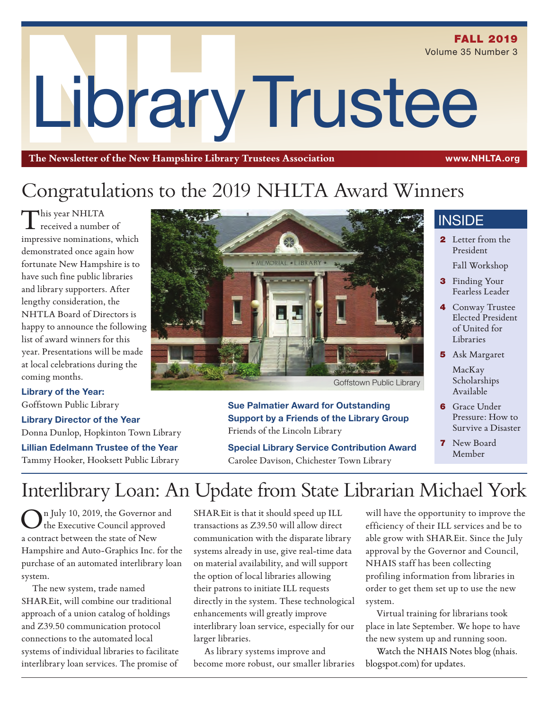LibraryTrustee **FALL 2019** Volume 35 Number 3

**The Newsletter of the New Hampshire Library Trustees Association** www.NHLTA.org

# Congratulations to the 2019 NHLTA Award Winners

This year NHLTA received a number of impressive nominations, which demonstrated once again how fortunate New Hampshire is to have such fine public libraries and library supporters. After lengthy consideration, the NHTLA Board of Directors is happy to announce the following list of award winners for this year. Presentations will be made at local celebrations during the coming months.

## **Library of the Year:**

Goffstown Public Library

**Library Director of the Year** Donna Dunlop, Hopkinton Town Library **Lillian Edelmann Trustee of the Year** Tammy Hooker, Hooksett Public Library



**Sue Palmatier Award for Outstanding Support by a Friends of the Library Group** Friends of the Lincoln Library

**Special Library Service Contribution Award** Carolee Davison, Chichester Town Library

## **INSIDE**

- 2 Letter from the President
	- Fall Workshop
- **3** Finding Your Fearless Leader
- 4 Conway Trustee Elected President of United for Libraries
- 5 Ask Margaret
	- MacKay Scholarships Available
- **6** Grace Under Pressure: How to Survive a Disaster
- 7 New Board Member

# Interlibrary Loan: An Update from State Librarian Michael York

On July 10, 2019, the Governor and the Executive Council approved a contract between the state of New Hampshire and Auto-Graphics Inc. for the purchase of an automated interlibrary loan system.

The new system, trade named SHAREit, will combine our traditional approach of a union catalog of holdings and Z39.50 communication protocol connections to the automated local systems of individual libraries to facilitate interlibrary loan services. The promise of

SHAREit is that it should speed up ILL transactions as Z39.50 will allow direct communication with the disparate library systems already in use, give real-time data on material availability, and will support the option of local libraries allowing their patrons to initiate ILL requests directly in the system. These technological enhancements will greatly improve interlibrary loan service, especially for our larger libraries.

As library systems improve and become more robust, our smaller libraries

will have the opportunity to improve the efficiency of their ILL services and be to able grow with SHAREit. Since the July approval by the Governor and Council, NHAIS staff has been collecting profiling information from libraries in order to get them set up to use the new system.

Virtual training for librarians took place in late September. We hope to have the new system up and running soon.

Watch the NHAIS Notes blog (nhais. blogspot.com) for updates.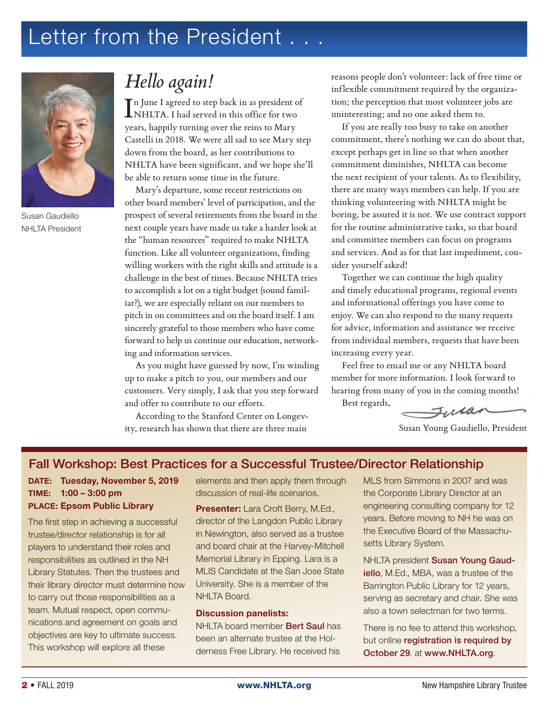# Letter from the President . . .



Susan Gaudiello NHLTA President

## *Hello again!*

In June I agreed to step back in as president of<br>NHLTA. I had served in this office for two NHLTA. I had served in this office for two years, happily turning over the reins to Mary Castelli in 2018. We were all sad to see Mary step down from the board, as her contributions to NHLTA have been significant, and we hope she'll be able to return some time in the future.

Mary's departure, some recent restrictions on other board members' level of participation, and the prospect of several retirements from the board in the next couple years have made us take a harder look at the "human resources" required to make NHLTA function. Like all volunteer organizations, finding willing workers with the right skills and attitude is a challenge in the best of times. Because NHLTA tries to accomplish a lot on a tight budget (sound familiar?), we are especially reliant on our members to pitch in on committees and on the board itself. I am sincerely grateful to those members who have come forward to help us continue our education, networking and information services.

As you might have guessed by now, I'm winding up to make a pitch to you, our members and our customers. Very simply, I ask that you step forward and offer to contribute to our efforts.

According to the Stanford Center on Longevity, research has shown that there are three main

reasons people don't volunteer: lack of free time or inflexible commitment required by the organization; the perception that most volunteer jobs are uninteresting; and no one asked them to.

If you are really too busy to take on another commitment, there's nothing we can do about that, except perhaps get in line so that when another commitment diminishes, NHLTA can become the next recipient of your talents. As to flexibility, there are many ways members can help. If you are thinking volunteering with NHLTA might be boring, be assured it is not. We use contract support for the routine administrative tasks, so that board and committee members can focus on programs and services. And as for that last impediment, consider yourself asked!

Together we can continue the high quality and timely educational programs, regional events and informational offerings you have come to enjoy. We can also respond to the many requests for advice, information and assistance we receive from individual members, requests that have been increasing every year.

Feel free to email me or any NHLTA board member for more information. I look forward to hearing from many of you in the coming months! Best regards,

Julan

Susan Young Gaudiello, President

### Fall Workshop: Best Practices for a Successful Trustee/Director Relationship

### DATE: Tuesday, November 5, 2019 TIME: 1:00 – 3:00 pm PLACE: Epsom Public Library

The first step in achieving a successful trustee/director relationship is for all players to understand their roles and responsibilities as outlined in the NH Library Statutes. Then the trustees and their library director must determine how to carry out those responsibilities as a team. Mutual respect, open communications and agreement on goals and objectives are key to ultimate success. This workshop will explore all these

elements and then apply them through discussion of real-life scenarios.

**Presenter:** Lara Croft Berry, M.Ed., director of the Langdon Public Library in Newington, also served as a trustee and board chair at the Harvey-Mitchell Memorial Library in Epping. Lara is a MLIS Candidate at the San Jose State University. She is a member of the NHLTA Board.

#### **Discussion panelists:**

NHLTA board member Bert Saul has been an alternate trustee at the Holderness Free Library. He received his

MLS from Simmons in 2007 and was the Corporate Library Director at an engineering consulting company for 12 years. Before moving to NH he was on the Executive Board of the Massachusetts Library System.

NHLTA president Susan Young Gaudiello, M.Ed., MBA, was a trustee of the Barrington Public Library for 12 years, serving as secretary and chair. She was also a town selectman for two terms.

There is no fee to attend this workshop, but online registration is required by October 29. at www.NHLTA.org.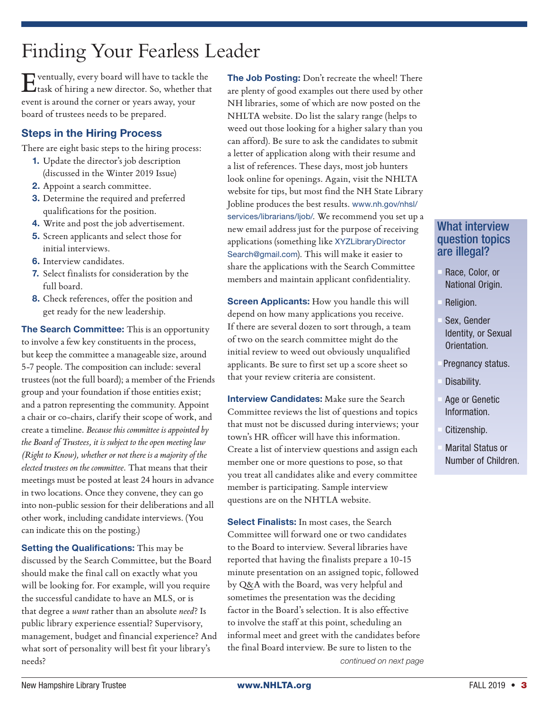# Finding Your Fearless Leader

Eventually, every board will have to tackle the task of hiring a new director. So, whether that event is around the corner or years away, your board of trustees needs to be prepared.

### Steps in the Hiring Process

There are eight basic steps to the hiring process:

- **1.** Update the director's job description (discussed in the Winter 2019 Issue)
- **2.** Appoint a search committee.
- **3.** Determine the required and preferred qualifications for the position.
- **4.** Write and post the job advertisement.
- **5.** Screen applicants and select those for initial interviews.
- **6.** Interview candidates.
- **7.** Select finalists for consideration by the full board.
- **8.** Check references, offer the position and get ready for the new leadership.

**The Search Committee:** This is an opportunity to involve a few key constituents in the process, but keep the committee a manageable size, around 5-7 people. The composition can include: several trustees (not the full board); a member of the Friends group and your foundation if those entities exist; and a patron representing the community. Appoint a chair or co-chairs, clarify their scope of work, and create a timeline. *Because this committee is appointed by the Board of Trustees, it is subject to the open meeting law (Right to Know), whether or not there is a majority of the elected trustees on the committee.* That means that their meetings must be posted at least 24 hours in advance in two locations. Once they convene, they can go into non-public session for their deliberations and all other work, including candidate interviews. (You can indicate this on the posting.)

**Setting the Qualifications:** This may be discussed by the Search Committee, but the Board should make the final call on exactly what you will be looking for. For example, will you require the successful candidate to have an MLS, or is that degree a *want* rather than an absolute *need*? Is public library experience essential? Supervisory, management, budget and financial experience? And what sort of personality will best fit your library's needs?

**The Job Posting:** Don't recreate the wheel! There are plenty of good examples out there used by other NH libraries, some of which are now posted on the NHLTA website. Do list the salary range (helps to weed out those looking for a higher salary than you can afford). Be sure to ask the candidates to submit a letter of application along with their resume and a list of references. These days, most job hunters look online for openings. Again, visit the NHLTA website for tips, but most find the NH State Library Jobline produces the best results. www.nh.gov/nhsl/ services/librarians/ljob/. We recommend you set up a new email address just for the purpose of receiving applications (something like XYZLibraryDirector Search@gmail.com). This will make it easier to share the applications with the Search Committee members and maintain applicant confidentiality.

**Screen Applicants:** How you handle this will depend on how many applications you receive. If there are several dozen to sort through, a team of two on the search committee might do the initial review to weed out obviously unqualified applicants. Be sure to first set up a score sheet so that your review criteria are consistent.

**Interview Candidates:** Make sure the Search Committee reviews the list of questions and topics that must not be discussed during interviews; your town's HR officer will have this information. Create a list of interview questions and assign each member one or more questions to pose, so that you treat all candidates alike and every committee member is participating. Sample interview questions are on the NHTLA website.

*continued on next page*  **Select Finalists:** In most cases, the Search Committee will forward one or two candidates to the Board to interview. Several libraries have reported that having the finalists prepare a 10-15 minute presentation on an assigned topic, followed by Q&A with the Board, was very helpful and sometimes the presentation was the deciding factor in the Board's selection. It is also effective to involve the staff at this point, scheduling an informal meet and greet with the candidates before the final Board interview. Be sure to listen to the

### What interview question topics are illegal?

- Race, Color, or National Origin.
- Religion.
- Sex, Gender Identity, or Sexual Orientation.
- Pregnancy status.
- Disability.
- Age or Genetic Information.
- Citizenship.
- **Marital Status or** Number of Children.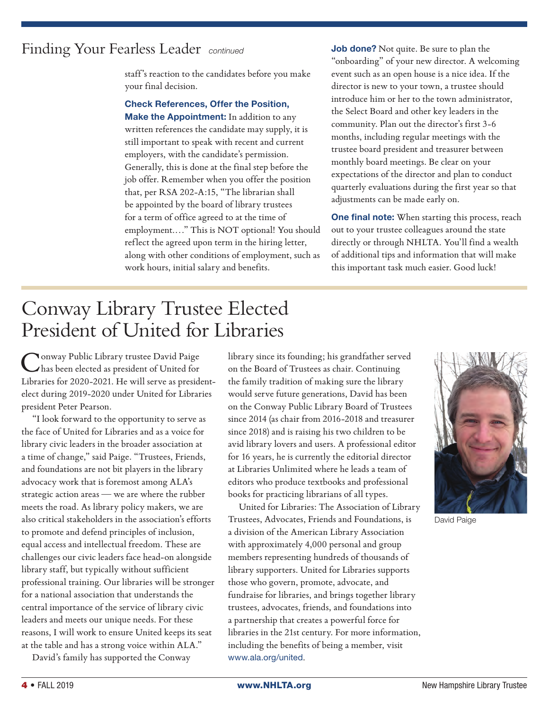## Finding Your Fearless Leader *continued*

staff's reaction to the candidates before you make your final decision.

**Check References, Offer the Position, Make the Appointment:** In addition to any written references the candidate may supply, it is still important to speak with recent and current employers, with the candidate's permission. Generally, this is done at the final step before the job offer. Remember when you offer the position that, per RSA 202-A:15, "The librarian shall be appointed by the board of library trustees for a term of office agreed to at the time of employment.…" This is NOT optional! You should reflect the agreed upon term in the hiring letter, along with other conditions of employment, such as work hours, initial salary and benefits.

**Job done?** Not quite. Be sure to plan the "onboarding" of your new director. A welcoming event such as an open house is a nice idea. If the director is new to your town, a trustee should introduce him or her to the town administrator, the Select Board and other key leaders in the community. Plan out the director's first 3-6 months, including regular meetings with the trustee board president and treasurer between monthly board meetings. Be clear on your expectations of the director and plan to conduct quarterly evaluations during the first year so that adjustments can be made early on.

**One final note:** When starting this process, reach out to your trustee colleagues around the state directly or through NHLTA. You'll find a wealth of additional tips and information that will make this important task much easier. Good luck!

# Conway Library Trustee Elected President of United for Libraries

**Nonway Public Library trustee David Paige** has been elected as president of United for Libraries for 2020-2021. He will serve as presidentelect during 2019-2020 under United for Libraries president Peter Pearson.

"I look forward to the opportunity to serve as the face of United for Libraries and as a voice for library civic leaders in the broader association at a time of change," said Paige. "Trustees, Friends, and foundations are not bit players in the library advocacy work that is foremost among ALA's strategic action areas — we are where the rubber meets the road. As library policy makers, we are also critical stakeholders in the association's efforts to promote and defend principles of inclusion, equal access and intellectual freedom. These are challenges our civic leaders face head-on alongside library staff, but typically without sufficient professional training. Our libraries will be stronger for a national association that understands the central importance of the service of library civic leaders and meets our unique needs. For these reasons, I will work to ensure United keeps its seat at the table and has a strong voice within ALA."

David's family has supported the Conway

library since its founding; his grandfather served on the Board of Trustees as chair. Continuing the family tradition of making sure the library would serve future generations, David has been on the Conway Public Library Board of Trustees since 2014 (as chair from 2016-2018 and treasurer since 2018) and is raising his two children to be avid library lovers and users. A professional editor for 16 years, he is currently the editorial director at Libraries Unlimited where he leads a team of editors who produce textbooks and professional books for practicing librarians of all types.

United for Libraries: The Association of Library Trustees, Advocates, Friends and Foundations, is a division of the American Library Association with approximately 4,000 personal and group members representing hundreds of thousands of library supporters. United for Libraries supports those who govern, promote, advocate, and fundraise for libraries, and brings together library trustees, advocates, friends, and foundations into a partnership that creates a powerful force for libraries in the 21st century. For more information, including the benefits of being a member, visit www.ala.org/united.



David Paige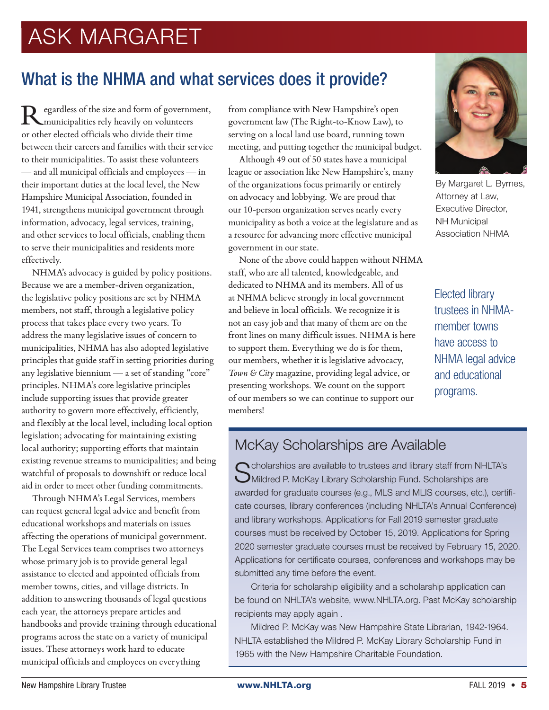# ASK MARGARET

## What is the NHMA and what services does it provide?

egardless of the size and form of government, municipalities rely heavily on volunteers or other elected officials who divide their time between their careers and families with their service to their municipalities. To assist these volunteers — and all municipal officials and employees — in their important duties at the local level, the New Hampshire Municipal Association, founded in 1941, strengthens municipal government through information, advocacy, legal services, training, and other services to local officials, enabling them to serve their municipalities and residents more effectively.

NHMA's advocacy is guided by policy positions. Because we are a member-driven organization, the legislative policy positions are set by NHMA members, not staff, through a legislative policy process that takes place every two years. To address the many legislative issues of concern to municipalities, NHMA has also adopted legislative principles that guide staff in setting priorities during any legislative biennium — a set of standing "core" principles. NHMA's core legislative principles include supporting issues that provide greater authority to govern more effectively, efficiently, and flexibly at the local level, including local option legislation; advocating for maintaining existing local authority; supporting efforts that maintain existing revenue streams to municipalities; and being watchful of proposals to downshift or reduce local aid in order to meet other funding commitments.

Through NHMA's Legal Services, members can request general legal advice and benefit from educational workshops and materials on issues affecting the operations of municipal government. The Legal Services team comprises two attorneys whose primary job is to provide general legal assistance to elected and appointed officials from member towns, cities, and village districts. In addition to answering thousands of legal questions each year, the attorneys prepare articles and handbooks and provide training through educational programs across the state on a variety of municipal issues. These attorneys work hard to educate municipal officials and employees on everything

from compliance with New Hampshire's open government law (The Right-to-Know Law), to serving on a local land use board, running town meeting, and putting together the municipal budget.

Although 49 out of 50 states have a municipal league or association like New Hampshire's, many of the organizations focus primarily or entirely on advocacy and lobbying. We are proud that our 10-person organization serves nearly every municipality as both a voice at the legislature and as a resource for advancing more effective municipal government in our state.

None of the above could happen without NHMA staff, who are all talented, knowledgeable, and dedicated to NHMA and its members. All of us at NHMA believe strongly in local government and believe in local officials. We recognize it is not an easy job and that many of them are on the front lines on many difficult issues. NHMA is here to support them. Everything we do is for them, our members, whether it is legislative advocacy, *Town & City* magazine, providing legal advice, or presenting workshops. We count on the support of our members so we can continue to support our members!



By Margaret L. Byrnes, Attorney at Law, Executive Director, NH Municipal Association NHMA

Elected library trustees in NHMAmember towns have access to NHMA legal advice and educational programs.

## McKay Scholarships are Available

Cholarships are available to trustees and library staff from NHLTA's Mildred P. McKay Library Scholarship Fund. Scholarships are awarded for graduate courses (e.g., MLS and MLIS courses, etc.), certificate courses, library conferences (including NHLTA's Annual Conference) and library workshops. Applications for Fall 2019 semester graduate courses must be received by October 15, 2019. Applications for Spring 2020 semester graduate courses must be received by February 15, 2020. Applications for certificate courses, conferences and workshops may be submitted any time before the event.

Criteria for scholarship eligibility and a scholarship application can be found on NHLTA's website, www.NHLTA.org. Past McKay scholarship recipients may apply again .

Mildred P. McKay was New Hampshire State Librarian, 1942-1964. NHLTA established the Mildred P. McKay Library Scholarship Fund in 1965 with the New Hampshire Charitable Foundation.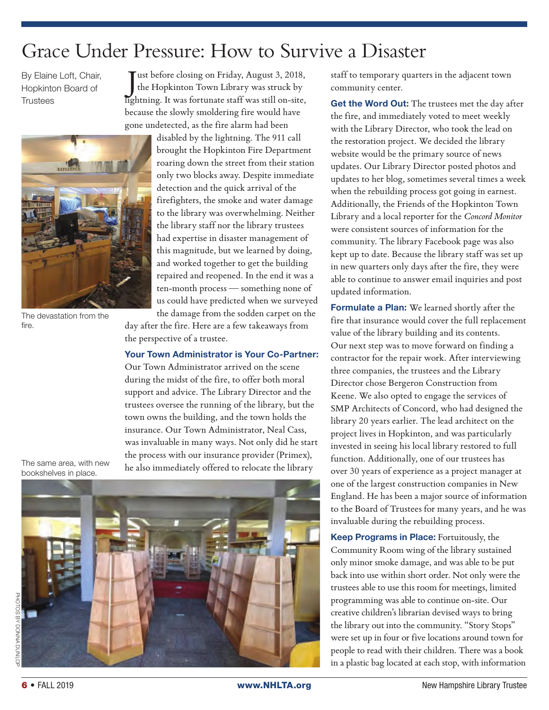# Grace Under Pressure: How to Survive a Disaster

By Elaine Loft, Chair, Hopkinton Board of **Trustees** 



The devastation from the fire.

J ust before closing on Friday, August 3, 2018, the Hopkinton Town Library was struck by lightning. It was fortunate staff was still on-site, because the slowly smoldering fire would have gone undetected, as the fire alarm had been

> disabled by the lightning. The 911 call brought the Hopkinton Fire Department roaring down the street from their station only two blocks away. Despite immediate detection and the quick arrival of the firefighters, the smoke and water damage to the library was overwhelming. Neither the library staff nor the library trustees had expertise in disaster management of this magnitude, but we learned by doing, and worked together to get the building repaired and reopened. In the end it was a ten-month process — something none of us could have predicted when we surveyed

the damage from the sodden carpet on the day after the fire. Here are a few takeaways from the perspective of a trustee.

### **Your Town Administrator is Your Co-Partner:**

Our Town Administrator arrived on the scene during the midst of the fire, to offer both moral support and advice. The Library Director and the trustees oversee the running of the library, but the town owns the building, and the town holds the insurance. Our Town Administrator, Neal Cass, was invaluable in many ways. Not only did he start the process with our insurance provider (Primex), he also immediately offered to relocate the library

The same area, with new bookshelves in place.



staff to temporary quarters in the adjacent town community center.

**Get the Word Out:** The trustees met the day after the fire, and immediately voted to meet weekly with the Library Director, who took the lead on the restoration project. We decided the library website would be the primary source of news updates. Our Library Director posted photos and updates to her blog, sometimes several times a week when the rebuilding process got going in earnest. Additionally, the Friends of the Hopkinton Town Library and a local reporter for the *Concord Monitor* were consistent sources of information for the community. The library Facebook page was also kept up to date. Because the library staff was set up in new quarters only days after the fire, they were able to continue to answer email inquiries and post updated information.

**Formulate a Plan:** We learned shortly after the fire that insurance would cover the full replacement value of the library building and its contents. Our next step was to move forward on finding a contractor for the repair work. After interviewing three companies, the trustees and the Library Director chose Bergeron Construction from Keene. We also opted to engage the services of SMP Architects of Concord, who had designed the library 20 years earlier. The lead architect on the project lives in Hopkinton, and was particularly invested in seeing his local library restored to full function. Additionally, one of our trustees has over 30 years of experience as a project manager at one of the largest construction companies in New England. He has been a major source of information to the Board of Trustees for many years, and he was invaluable during the rebuilding process.

**Keep Programs in Place:** Fortuitously, the Community Room wing of the library sustained only minor smoke damage, and was able to be put back into use within short order. Not only were the trustees able to use this room for meetings, limited programming was able to continue on-site. Our creative children's librarian devised ways to bring the library out into the community. "Story Stops" were set up in four or five locations around town for people to read with their children. There was a book in a plastic bag located at each stop, with information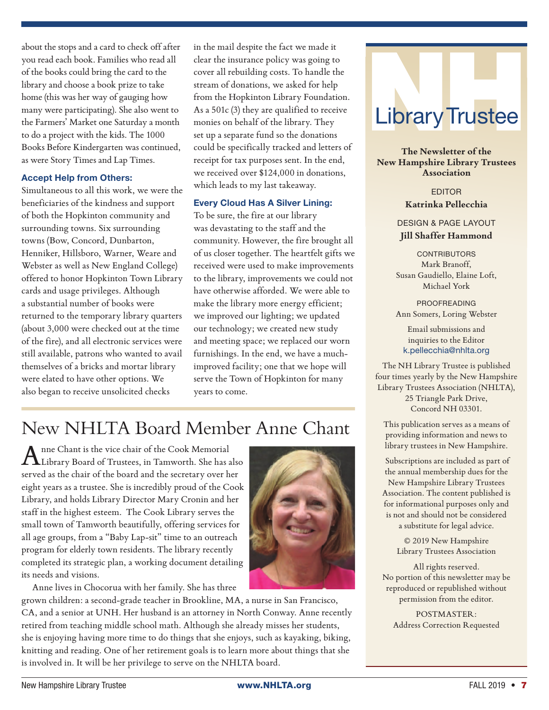about the stops and a card to check off after you read each book. Families who read all of the books could bring the card to the library and choose a book prize to take home (this was her way of gauging how many were participating). She also went to the Farmers' Market one Saturday a month to do a project with the kids. The 1000 Books Before Kindergarten was continued, as were Story Times and Lap Times.

#### **Accept Help from Others:**

Simultaneous to all this work, we were the beneficiaries of the kindness and support of both the Hopkinton community and surrounding towns. Six surrounding towns (Bow, Concord, Dunbarton, Henniker, Hillsboro, Warner, Weare and Webster as well as New England College) offered to honor Hopkinton Town Library cards and usage privileges. Although a substantial number of books were returned to the temporary library quarters (about 3,000 were checked out at the time of the fire), and all electronic services were still available, patrons who wanted to avail themselves of a bricks and mortar library were elated to have other options. We also began to receive unsolicited checks

in the mail despite the fact we made it clear the insurance policy was going to cover all rebuilding costs. To handle the stream of donations, we asked for help from the Hopkinton Library Foundation. As a 501c (3) they are qualified to receive monies on behalf of the library. They set up a separate fund so the donations could be specifically tracked and letters of receipt for tax purposes sent. In the end, we received over \$124,000 in donations, which leads to my last takeaway.

#### **Every Cloud Has A Silver Lining:**

To be sure, the fire at our library was devastating to the staff and the community. However, the fire brought all of us closer together. The heartfelt gifts we received were used to make improvements to the library, improvements we could not have otherwise afforded. We were able to make the library more energy efficient; we improved our lighting; we updated our technology; we created new study and meeting space; we replaced our worn furnishings. In the end, we have a muchimproved facility; one that we hope will serve the Town of Hopkinton for many years to come.

## New NHLTA Board Member Anne Chant

Anne Chant is the vice chair of the Cook Memorial Library Board of Trustees, in Tamworth. She has also served as the chair of the board and the secretary over her eight years as a trustee. She is incredibly proud of the Cook Library, and holds Library Director Mary Cronin and her staff in the highest esteem. The Cook Library serves the small town of Tamworth beautifully, offering services for all age groups, from a "Baby Lap-sit" time to an outreach program for elderly town residents. The library recently completed its strategic plan, a working document detailing its needs and visions.

Anne lives in Chocorua with her family. She has three

grown children: a second-grade teacher in Brookline, MA, a nurse in San Francisco, CA, and a senior at UNH. Her husband is an attorney in North Conway. Anne recently retired from teaching middle school math. Although she already misses her students, she is enjoying having more time to do things that she enjoys, such as kayaking, biking, knitting and reading. One of her retirement goals is to learn more about things that she is involved in. It will be her privilege to serve on the NHLTA board.



**The Newsletter of the New Hampshire Library Trustees Association**

> EDITOR **Katrinka Pellecchia**

DESIGN & PAGE LAYOUT **Jill Shaffer Hammond**

**CONTRIBUTORS** Mark Branoff, Susan Gaudiello, Elaine Loft, Michael York

PROOFREADING Ann Somers, Loring Webster

Email submissions and inquiries to the Editor k.pellecchia@nhlta.org

The NH Library Trustee is published four times yearly by the New Hampshire Library Trustees Association (NHLTA), 25 Triangle Park Drive, Concord NH 03301.

This publication serves as a means of providing information and news to library trustees in New Hampshire.

 Subscriptions are included as part of the annual membership dues for the New Hampshire Library Trustees Association. The content published is for informational purposes only and is not and should not be considered a substitute for legal advice.

> © 2019 New Hampshire Library Trustees Association

All rights reserved. No portion of this newsletter may be reproduced or republished without permission from the editor.

POSTMASTER: Address Correction Requested